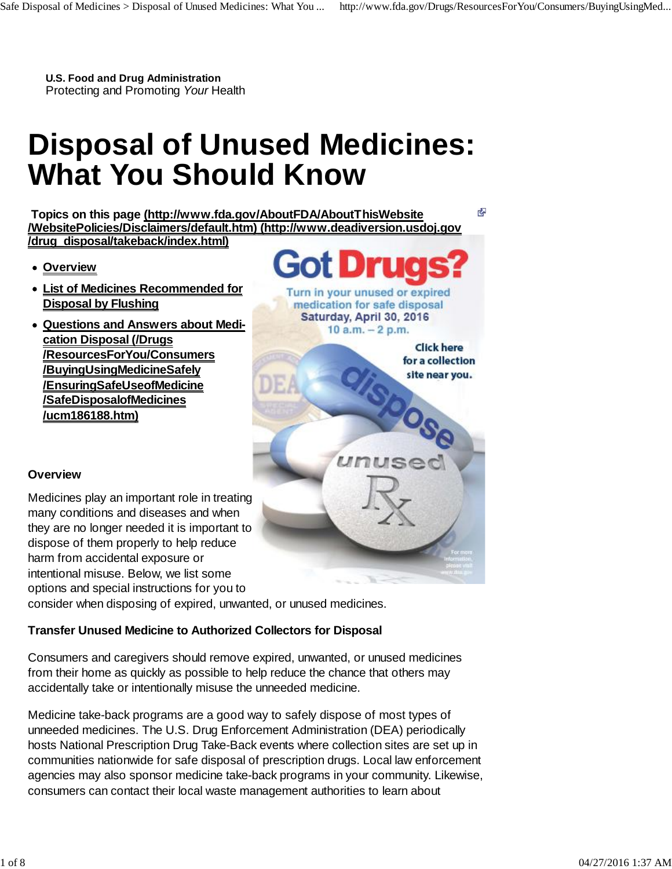R.

**U.S. Food and Drug Administration** Protecting and Promoting *Your* Health

# **Disposal of Unused Medicines: What You Should Know**

 **Topics on this page (http://www.fda.gov/AboutFDA/AboutThisWebsite /WebsitePolicies/Disclaimers/default.htm) (http://www.deadiversion.usdoj.gov /drug\_disposal/takeback/index.html)**

- **Overview**
- **List of Medicines Recommended for Disposal by Flushing**
- **Questions and Answers about Medi cation Disposal (/Drugs /ResourcesForYou/Consumers /BuyingUsingMedicineSafely /EnsuringSafeUseofMedicine /SafeDisposalofMedicines /ucm186188.htm)**

Turn in your unused or expired medication for safe disposal Saturday, April 30, 2016 10  $a.m. - 2 p.m.$ 

> **Click here** for a collection site near you.

# **Overview**

Medicines play an important role in treating many conditions and diseases and when they are no longer needed it is important to dispose of them properly to help reduce harm from accidental exposure or intentional misuse. Below, we list some options and special instructions for you to

consider when disposing of expired, unwanted, or unused medicines.

# **Transfer Unused Medicine to Authorized Collectors for Disposal**

Consumers and caregivers should remove expired, unwanted, or unused medicines from their home as quickly as possible to help reduce the chance that others may accidentally take or intentionally misuse the unneeded medicine.

Medicine take-back programs are a good way to safely dispose of most types of unneeded medicines. The U.S. Drug Enforcement Administration (DEA) periodically hosts National Prescription Drug Take-Back events where collection sites are set up in communities nationwide for safe disposal of prescription drugs. Local law enforcement agencies may also sponsor medicine take-back programs in your community. Likewise, consumers can contact their local waste management authorities to learn about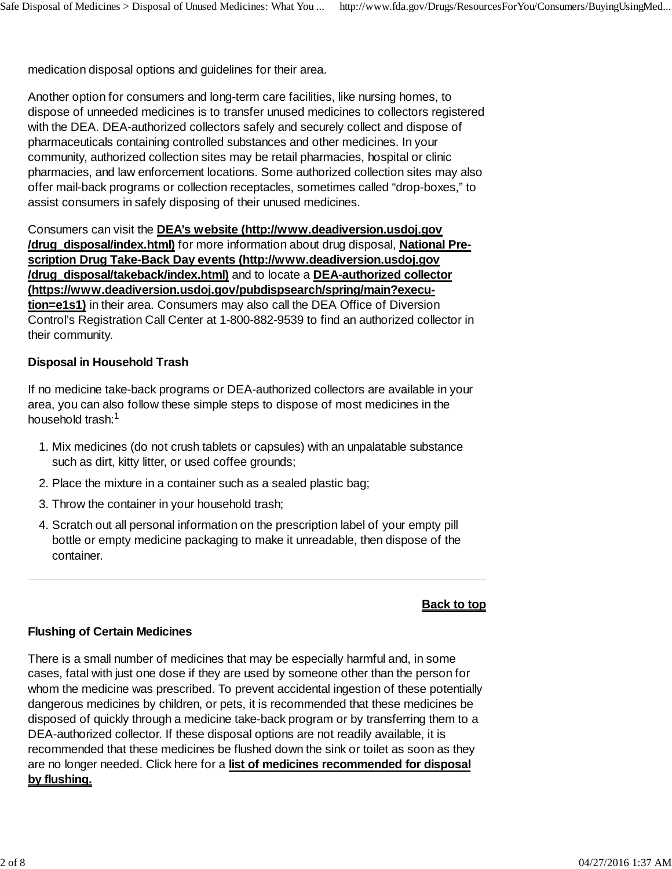medication disposal options and guidelines for their area.

Another option for consumers and long-term care facilities, like nursing homes, to dispose of unneeded medicines is to transfer unused medicines to collectors registered with the DEA. DEA-authorized collectors safely and securely collect and dispose of pharmaceuticals containing controlled substances and other medicines. In your community, authorized collection sites may be retail pharmacies, hospital or clinic pharmacies, and law enforcement locations. Some authorized collection sites may also offer mail-back programs or collection receptacles, sometimes called "drop-boxes," to assist consumers in safely disposing of their unused medicines.

Consumers can visit the **DEA's website (http://www.deadiversion.usdoj.gov /drug\_disposal/index.html)** for more information about drug disposal, **National Pre scription Drug Take-Back Day events (http://www.deadiversion.usdoj.gov /drug\_disposal/takeback/index.html)** and to locate a **DEA-authorized collector (https://www.deadiversion.usdoj.gov/pubdispsearch/spring/main?execution=e1s1)** in their area. Consumers may also call the DEA Office of Diversion Control's Registration Call Center at 1-800-882-9539 to find an authorized collector in their community.

### **Disposal in Household Trash**

If no medicine take-back programs or DEA-authorized collectors are available in your area, you can also follow these simple steps to dispose of most medicines in the household trash: 1

- 1. Mix medicines (do not crush tablets or capsules) with an unpalatable substance such as dirt, kitty litter, or used coffee grounds;
- 2. Place the mixture in a container such as a sealed plastic bag;
- 3. Throw the container in your household trash;
- 4. Scratch out all personal information on the prescription label of your empty pill bottle or empty medicine packaging to make it unreadable, then dispose of the container.

#### **Back to top**

### **Flushing of Certain Medicines**

There is a small number of medicines that may be especially harmful and, in some cases, fatal with just one dose if they are used by someone other than the person for whom the medicine was prescribed. To prevent accidental ingestion of these potentially dangerous medicines by children, or pets, it is recommended that these medicines be disposed of quickly through a medicine take-back program or by transferring them to a DEA-authorized collector. If these disposal options are not readily available, it is recommended that these medicines be flushed down the sink or toilet as soon as they are no longer needed. Click here for a **list of medicines recommended for disposal by flushing.**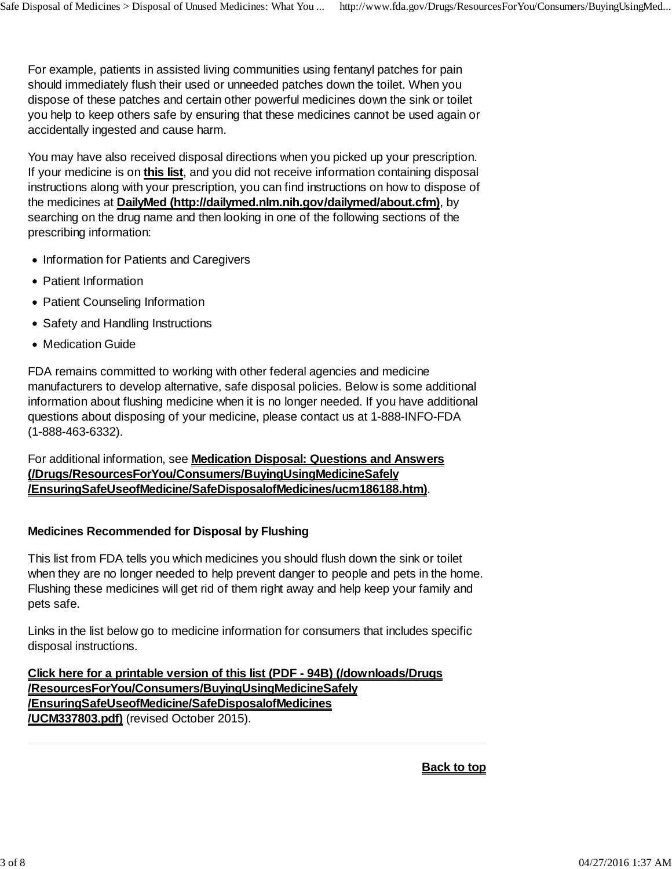For example, patients in assisted living communities using fentanyl patches for pain should immediately flush their used or unneeded patches down the toilet. When you dispose of these patches and certain other powerful medicines down the sink or toilet you help to keep others safe by ensuring that these medicines cannot be used again or accidentally ingested and cause harm.

You may have also received disposal directions when you picked up your prescription. If your medicine is on **this list**, and you did not receive information containing disposal instructions along with your prescription, you can find instructions on how to dispose of the medicines at **DailyMed (http://dailymed.nlm.nih.gov/dailymed/about.cfm)**, by searching on the drug name and then looking in one of the following sections of the prescribing information:

- Information for Patients and Caregivers
- Patient Information
- Patient Counseling Information
- Safety and Handling Instructions
- Medication Guide

FDA remains committed to working with other federal agencies and medicine manufacturers to develop alternative, safe disposal policies. Below is some additional information about flushing medicine when it is no longer needed. If you have additional questions about disposing of your medicine, please contact us at 1-888-INFO-FDA (1-888-463-6332).

For additional information, see **Medication Disposal: Questions and Answers (/Drugs/ResourcesForYou/Consumers/BuyingUsingMedicineSafely /EnsuringSafeUseofMedicine/SafeDisposalofMedicines/ucm186188.htm)**.

### **Medicines Recommended for Disposal by Flushing**

This list from FDA tells you which medicines you should flush down the sink or toilet when they are no longer needed to help prevent danger to people and pets in the home. Flushing these medicines will get rid of them right away and help keep your family and pets safe.

Links in the list below go to medicine information for consumers that includes specific disposal instructions.

**Click here for a printable version of this list (PDF - 94B) (/downloads/Drugs /ResourcesForYou/Consumers/BuyingUsingMedicineSafely /EnsuringSafeUseofMedicine/SafeDisposalofMedicines /UCM337803.pdf)** (revised October 2015).

**Back to top**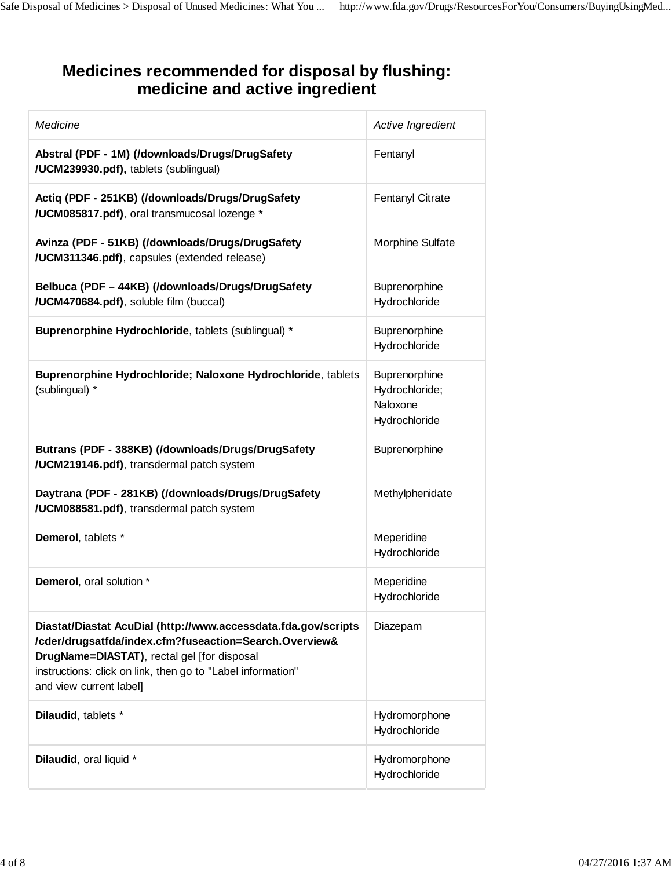# **Medicines recommended for disposal by flushing: medicine and active ingredient**

| Medicine                                                                                                                                                                                                                                                          | Active Ingredient                                            |
|-------------------------------------------------------------------------------------------------------------------------------------------------------------------------------------------------------------------------------------------------------------------|--------------------------------------------------------------|
| Abstral (PDF - 1M) (/downloads/Drugs/DrugSafety<br>/UCM239930.pdf), tablets (sublingual)                                                                                                                                                                          | Fentanyl                                                     |
| Actiq (PDF - 251KB) (/downloads/Drugs/DrugSafety<br>/UCM085817.pdf), oral transmucosal lozenge *                                                                                                                                                                  | Fentanyl Citrate                                             |
| Avinza (PDF - 51KB) (/downloads/Drugs/DrugSafety<br>/UCM311346.pdf), capsules (extended release)                                                                                                                                                                  | Morphine Sulfate                                             |
| Belbuca (PDF - 44KB) (/downloads/Drugs/DrugSafety<br>/UCM470684.pdf), soluble film (buccal)                                                                                                                                                                       | Buprenorphine<br>Hydrochloride                               |
| Buprenorphine Hydrochloride, tablets (sublingual) *                                                                                                                                                                                                               | Buprenorphine<br>Hydrochloride                               |
| Buprenorphine Hydrochloride; Naloxone Hydrochloride, tablets<br>(sublingual) *                                                                                                                                                                                    | Buprenorphine<br>Hydrochloride;<br>Naloxone<br>Hydrochloride |
| Butrans (PDF - 388KB) (/downloads/Drugs/DrugSafety<br>/UCM219146.pdf), transdermal patch system                                                                                                                                                                   | Buprenorphine                                                |
| Daytrana (PDF - 281KB) (/downloads/Drugs/DrugSafety<br>/UCM088581.pdf), transdermal patch system                                                                                                                                                                  | Methylphenidate                                              |
| Demerol, tablets *                                                                                                                                                                                                                                                | Meperidine<br>Hydrochloride                                  |
| <b>Demerol, oral solution *</b>                                                                                                                                                                                                                                   | Meperidine<br>Hydrochloride                                  |
| Diastat/Diastat AcuDial (http://www.accessdata.fda.gov/scripts<br>/cder/drugsatfda/index.cfm?fuseaction=Search.Overview&<br>DrugName=DIASTAT), rectal gel [for disposal<br>instructions: click on link, then go to "Label information"<br>and view current label] | Diazepam                                                     |
| Dilaudid, tablets *                                                                                                                                                                                                                                               | Hydromorphone<br>Hydrochloride                               |
| Dilaudid, oral liquid *                                                                                                                                                                                                                                           | Hydromorphone<br>Hydrochloride                               |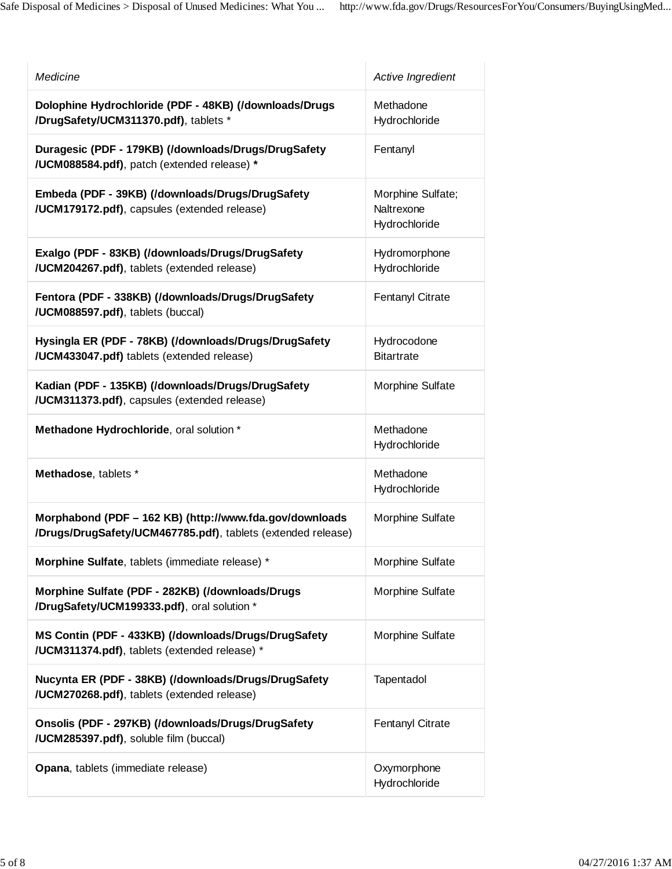| Medicine                                                                                                                | Active Ingredient                                |
|-------------------------------------------------------------------------------------------------------------------------|--------------------------------------------------|
| Dolophine Hydrochloride (PDF - 48KB) (/downloads/Drugs<br>/DrugSafety/UCM311370.pdf), tablets *                         | Methadone<br>Hydrochloride                       |
| Duragesic (PDF - 179KB) (/downloads/Drugs/DrugSafety<br>/UCM088584.pdf), patch (extended release) *                     | Fentanyl                                         |
| Embeda (PDF - 39KB) (/downloads/Drugs/DrugSafety<br>/UCM179172.pdf), capsules (extended release)                        | Morphine Sulfate;<br>Naltrexone<br>Hydrochloride |
| Exalgo (PDF - 83KB) (/downloads/Drugs/DrugSafety<br>/UCM204267.pdf), tablets (extended release)                         | Hydromorphone<br>Hydrochloride                   |
| Fentora (PDF - 338KB) (/downloads/Drugs/DrugSafety<br>/UCM088597.pdf), tablets (buccal)                                 | <b>Fentanyl Citrate</b>                          |
| Hysingla ER (PDF - 78KB) (/downloads/Drugs/DrugSafety<br>/UCM433047.pdf) tablets (extended release)                     | Hydrocodone<br><b>Bitartrate</b>                 |
| Kadian (PDF - 135KB) (/downloads/Drugs/DrugSafety<br>/UCM311373.pdf), capsules (extended release)                       | Morphine Sulfate                                 |
| Methadone Hydrochloride, oral solution *                                                                                | Methadone<br>Hydrochloride                       |
| Methadose, tablets *                                                                                                    | Methadone<br>Hydrochloride                       |
| Morphabond (PDF - 162 KB) (http://www.fda.gov/downloads<br>/Drugs/DrugSafety/UCM467785.pdf), tablets (extended release) | Morphine Sulfate                                 |
| Morphine Sulfate, tablets (immediate release) *                                                                         | Morphine Sulfate                                 |
| Morphine Sulfate (PDF - 282KB) (/downloads/Drugs<br>/DrugSafety/UCM199333.pdf), oral solution *                         | Morphine Sulfate                                 |
| MS Contin (PDF - 433KB) (/downloads/Drugs/DrugSafety<br>/UCM311374.pdf), tablets (extended release) *                   | Morphine Sulfate                                 |
| Nucynta ER (PDF - 38KB) (/downloads/Drugs/DrugSafety<br>/UCM270268.pdf), tablets (extended release)                     | Tapentadol                                       |
| Onsolis (PDF - 297KB) (/downloads/Drugs/DrugSafety<br>/UCM285397.pdf), soluble film (buccal)                            | <b>Fentanyl Citrate</b>                          |
| Opana, tablets (immediate release)                                                                                      | Oxymorphone<br>Hydrochloride                     |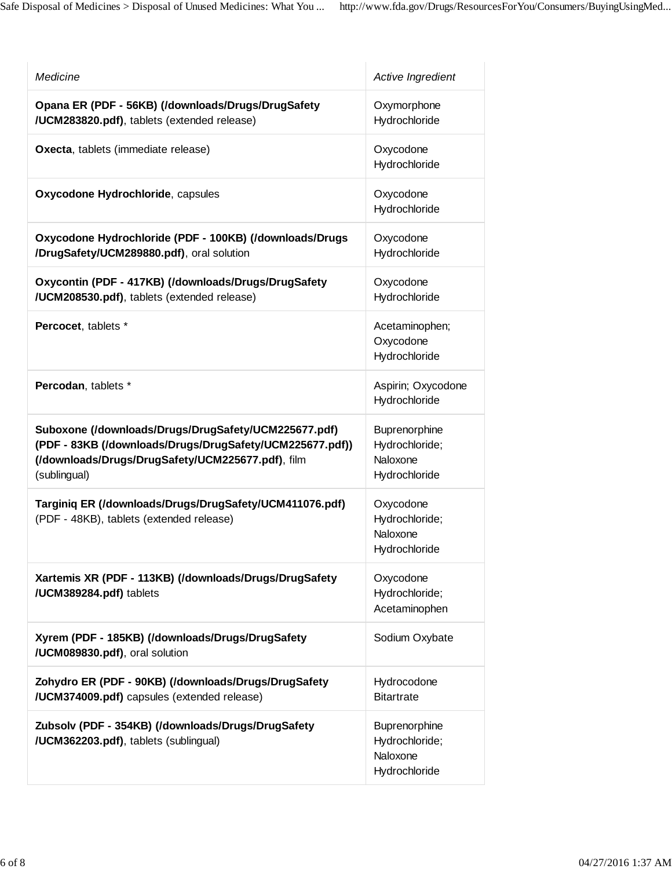| Medicine                                                                                                                                                                              | Active Ingredient                                            |
|---------------------------------------------------------------------------------------------------------------------------------------------------------------------------------------|--------------------------------------------------------------|
| Opana ER (PDF - 56KB) (/downloads/Drugs/DrugSafety<br>/UCM283820.pdf), tablets (extended release)                                                                                     | Oxymorphone<br>Hydrochloride                                 |
| Oxecta, tablets (immediate release)                                                                                                                                                   | Oxycodone<br>Hydrochloride                                   |
| Oxycodone Hydrochloride, capsules                                                                                                                                                     | Oxycodone<br>Hydrochloride                                   |
| Oxycodone Hydrochloride (PDF - 100KB) (/downloads/Drugs<br>/DrugSafety/UCM289880.pdf), oral solution                                                                                  | Oxycodone<br>Hydrochloride                                   |
| Oxycontin (PDF - 417KB) (/downloads/Drugs/DrugSafety<br>/UCM208530.pdf), tablets (extended release)                                                                                   | Oxycodone<br>Hydrochloride                                   |
| Percocet, tablets *                                                                                                                                                                   | Acetaminophen;<br>Oxycodone<br>Hydrochloride                 |
| Percodan, tablets *                                                                                                                                                                   | Aspirin; Oxycodone<br>Hydrochloride                          |
| Suboxone (/downloads/Drugs/DrugSafety/UCM225677.pdf)<br>(PDF - 83KB (/downloads/Drugs/DrugSafety/UCM225677.pdf))<br>(/downloads/Drugs/DrugSafety/UCM225677.pdf), film<br>(sublingual) | Buprenorphine<br>Hydrochloride;<br>Naloxone<br>Hydrochloride |
| Targiniq ER (/downloads/Drugs/DrugSafety/UCM411076.pdf)<br>(PDF - 48KB), tablets (extended release)                                                                                   | Oxycodone<br>Hydrochloride;<br>Naloxone<br>Hydrochloride     |
| Xartemis XR (PDF - 113KB) (/downloads/Drugs/DrugSafety<br>/UCM389284.pdf) tablets                                                                                                     | Oxycodone<br>Hydrochloride;<br>Acetaminophen                 |
| Xyrem (PDF - 185KB) (/downloads/Drugs/DrugSafety<br>/UCM089830.pdf), oral solution                                                                                                    | Sodium Oxybate                                               |
| Zohydro ER (PDF - 90KB) (/downloads/Drugs/DrugSafety<br>/UCM374009.pdf) capsules (extended release)                                                                                   | Hydrocodone<br><b>Bitartrate</b>                             |
| Zubsolv (PDF - 354KB) (/downloads/Drugs/DrugSafety<br>/UCM362203.pdf), tablets (sublingual)                                                                                           | Buprenorphine<br>Hydrochloride;<br>Naloxone<br>Hydrochloride |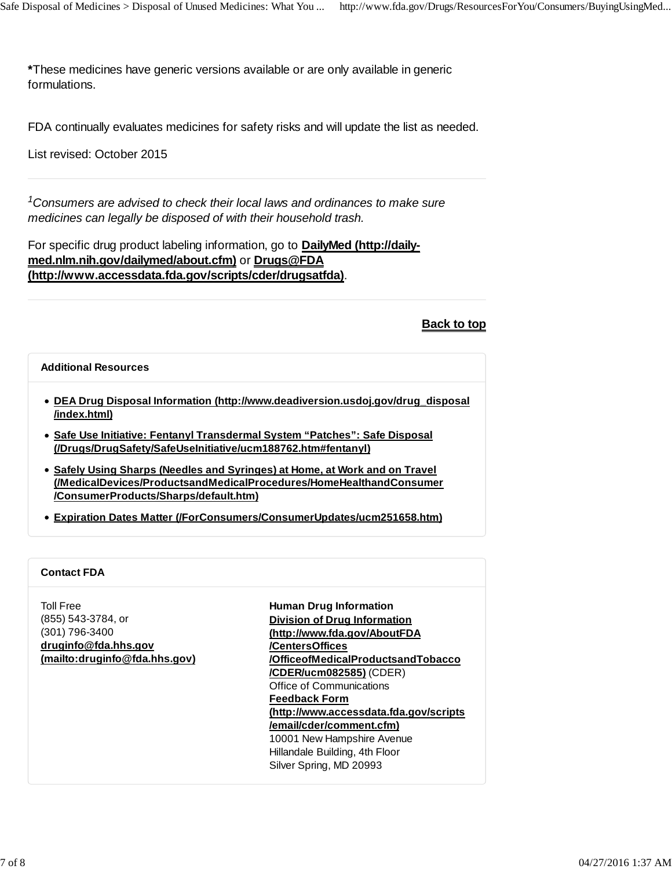**\***These medicines have generic versions available or are only available in generic formulations.

FDA continually evaluates medicines for safety risks and will update the list as needed.

List revised: October 2015

<sup>1</sup> Consumers are advised to check their local laws and ordinances to make sure *medicines can legally be disposed of with their household trash.*

For specific drug product labeling information, go to **DailyMed (http://daily med.nlm.nih.gov/dailymed/about.cfm)** or **Drugs@FDA (http://www.accessdata.fda.gov/scripts/cder/drugsatfda)**.

**Back to top**

#### **Additional Resources**

- **DEA Drug Disposal Information (http://www.deadiversion.usdoj.gov/drug\_disposal /index.html)**
- **Safe Use Initiative: Fentanyl Transdermal System "Patches": Safe Disposal (/Drugs/DrugSafety/SafeUseInitiative/ucm188762.htm#fentanyl)**
- **Safely Using Sharps (Needles and Syringes) at Home, at Work and on Travel (/MedicalDevices/ProductsandMedicalProcedures/HomeHealthandConsumer /ConsumerProducts/Sharps/default.htm)**
- **Expiration Dates Matter (/ForConsumers/ConsumerUpdates/ucm251658.htm)**

#### **Contact FDA**

Toll Free (855) 543-3784, or (301) 796-3400 **druginfo@fda.hhs.gov (mailto:druginfo@fda.hhs.gov)** **Human Drug Information Division of Drug Information (http://www.fda.gov/AboutFDA /CentersOffices /OfficeofMedicalProductsandTobacco /CDER/ucm082585)** (CDER) Office of Communications **Feedback Form (http://www.accessdata.fda.gov/scripts /email/cder/comment.cfm)** 10001 New Hampshire Avenue Hillandale Building, 4th Floor Silver Spring, MD 20993